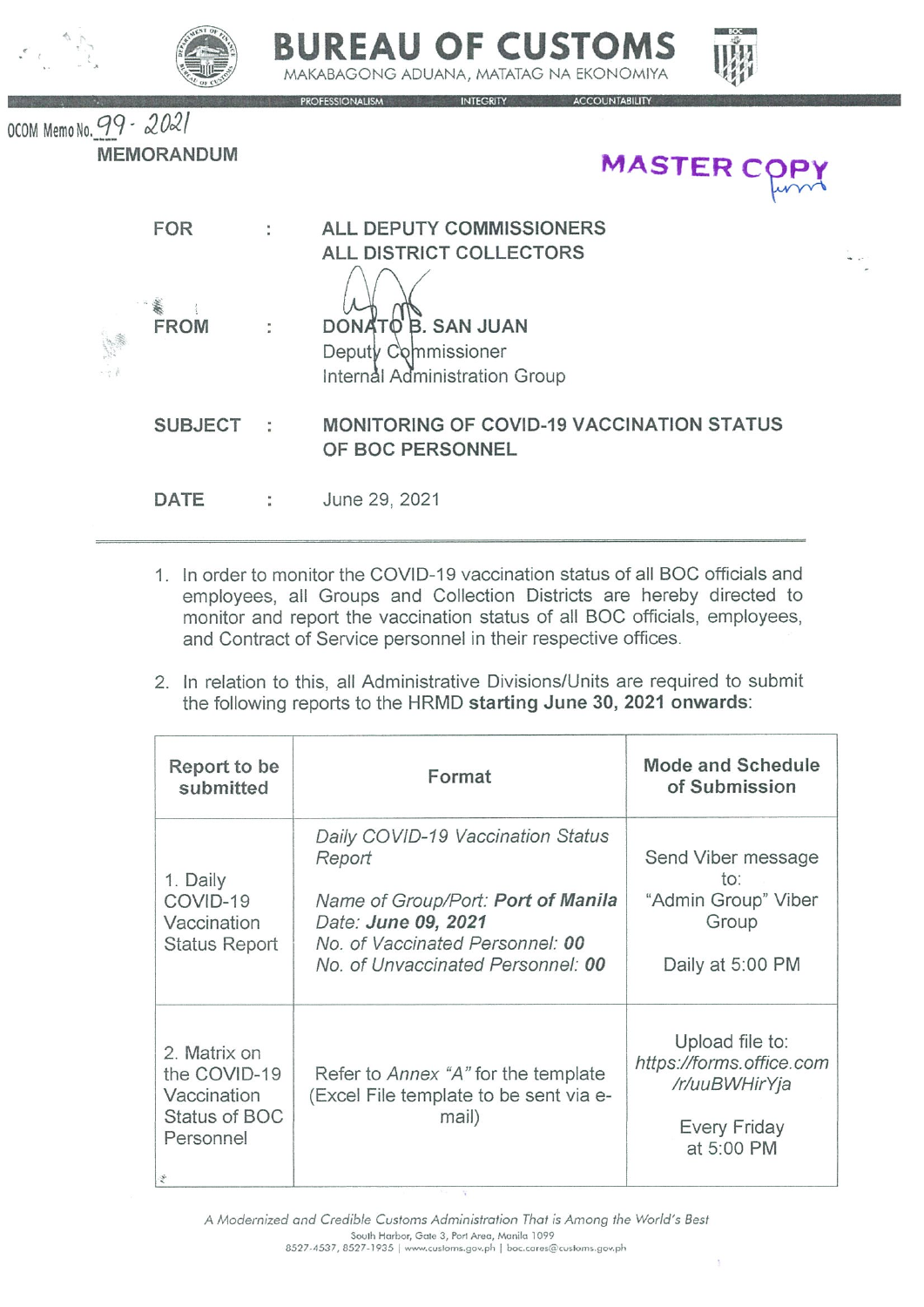





OCOM Memo No. 99 - 2021 **MEMORANDUM** 

|                                                                                                                                                                                                                                      | 1EMORANDUM         |                      | <b>MASTER COP</b>                                                          |
|--------------------------------------------------------------------------------------------------------------------------------------------------------------------------------------------------------------------------------------|--------------------|----------------------|----------------------------------------------------------------------------|
|                                                                                                                                                                                                                                      | <b>FOR</b>         | ÷                    | ALL DEPUTY COMMISSIONERS<br>ALL DISTRICT COLLECTORS                        |
| e differentiale differentiale differentiale differentiale differentiale differentiale differentiale differenti<br>Consideration differentiale differentiale differentiale differentiale differentiale differentiale differential<br> | WW.<br><b>FROM</b> | ÷                    | DONATO B. SAN JUAN<br>Deputy Commissioner<br>Internal Administration Group |
|                                                                                                                                                                                                                                      | <b>SUBJECT</b>     | $\ddot{\phantom{1}}$ | <b>MONITORING OF COVID-19 VACCINATION STATUS</b><br>OF BOC PERSONNEL       |
|                                                                                                                                                                                                                                      | DATE               |                      | June 29, 2021                                                              |

- 1. In order to monitor the COVID-19 vaccination status of all BOC officials and employees, all Groups and Collection Districts are hereby directed to monitor and report the vaccination status of all BOC officials, employees, and Contract of Service personnel in their respective offices.
- 2. In relation to this, all Administrative Divisions/Units are required to submit the following reports to the HRMD starting June 30, 2021 onwards:

| Report to be<br>submitted                                                 | Format                                                                                                                                                                           | <b>Mode and Schedule</b><br>of Submission                                                  |  |  |
|---------------------------------------------------------------------------|----------------------------------------------------------------------------------------------------------------------------------------------------------------------------------|--------------------------------------------------------------------------------------------|--|--|
| 1. Daily<br>COVID-19<br>Vaccination<br><b>Status Report</b>               | Daily COVID-19 Vaccination Status<br>Report<br>Name of Group/Port: Port of Manila<br>Date: June 09, 2021<br>No. of Vaccinated Personnel: 00<br>No. of Unvaccinated Personnel: 00 | Send Viber message<br>to:<br>"Admin Group" Viber<br>Group<br>Daily at 5:00 PM              |  |  |
| 2. Matrix on<br>the COVID-19<br>Vaccination<br>Status of BOC<br>Personnel | Refer to <i>Annex "A"</i> for the template<br>(Excel File template to be sent via e-<br>mail)                                                                                    | Upload file to:<br>https://forms.office.com<br>/r/uuBWHirYja<br>Every Friday<br>at 5:00 PM |  |  |

A Modernized and Credible Customs Administration That is Among the World's Best South Harbor, Gate 3, Port Area, Manila 1099 8527-4537, 8527-1935 | www.customs.gov.ph | boc.cares@customs.gov.ph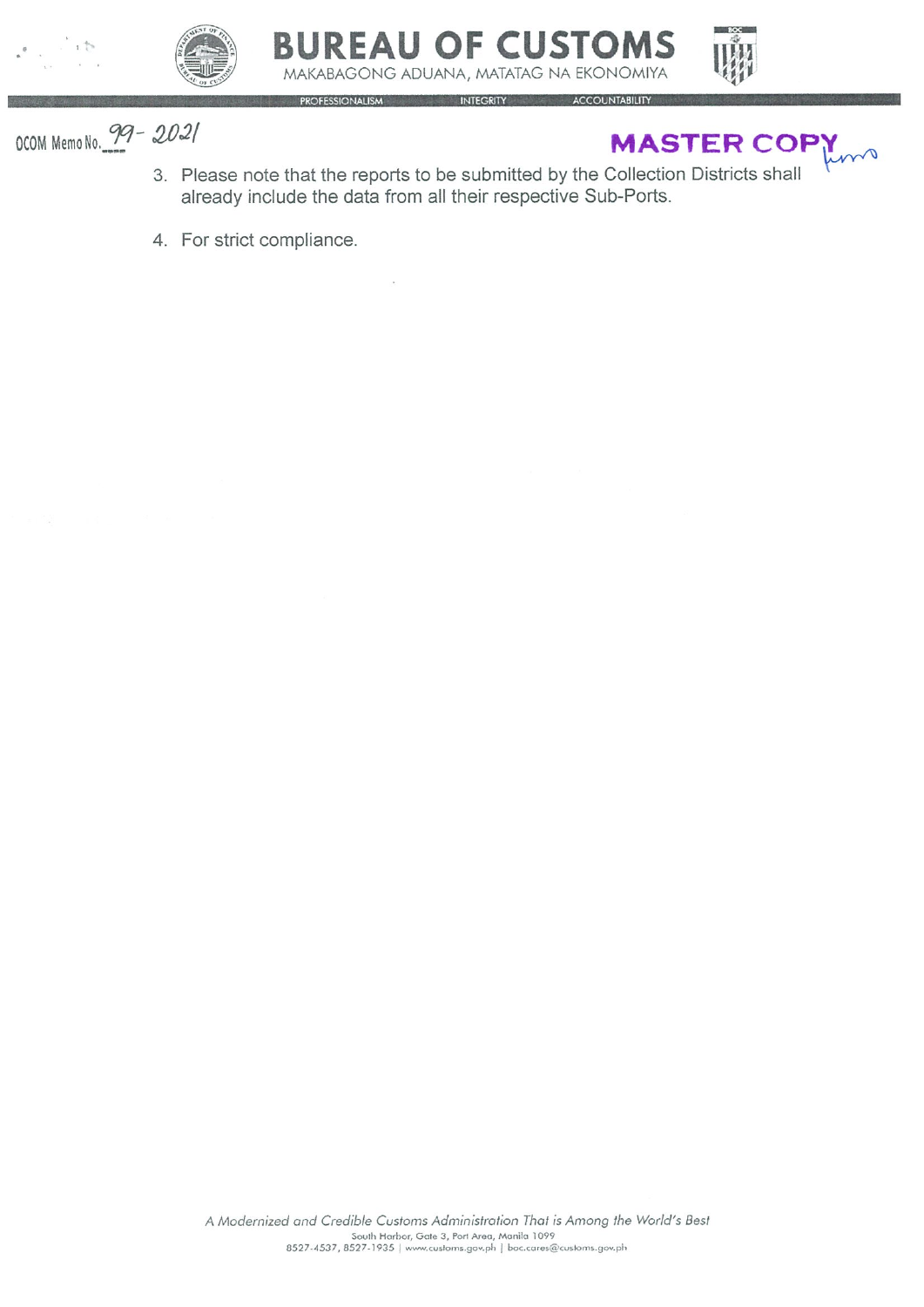



## **BUREAU OF CUSTOMS** MAKABAGONG ADUANA, MATATAG NA EKONOMIYA



OCOM Memo No. 99 - 2021

## MASTER COPY

3. Please note that the reports to be submitted by the Collection Districts shall already include the data from all their respective Sub-Ports.

INTEGRITY ACCOUNTABILITY

4. For strict compliance.

ROFESSIONALISM